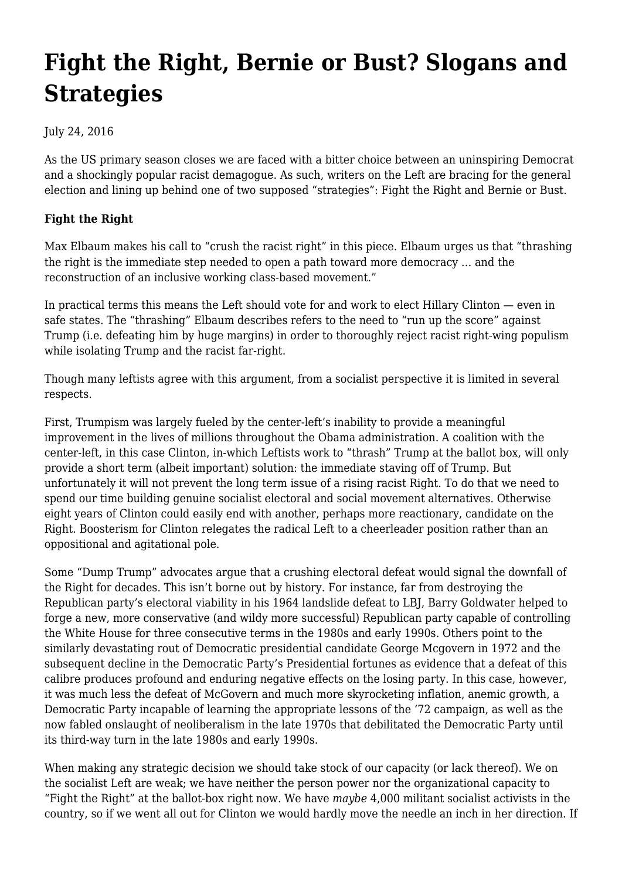# **[Fight the Right, Bernie or Bust? Slogans and](https://newpol.org/fight-right-bernie-or-bust-slogans-and-strategies/) [Strategies](https://newpol.org/fight-right-bernie-or-bust-slogans-and-strategies/)**

## July 24, 2016

As the US primary season closes we are faced with a bitter choice between an uninspiring Democrat and a shockingly popular racist demagogue. As such, writers on the Left are bracing for the general election and lining up behind one of two supposed "strategies": Fight the Right and Bernie or Bust.

## **Fight the Right**

Max Elbaum makes his call to "crush the racist right" in [this piece](http://portside.org/2016-05-09/trump-racism-and-left-2016). Elbaum urges us that "thrashing the right is the immediate step needed to open a path toward more democracy … and the reconstruction of an inclusive working class-based movement."

In practical terms this means the Left should vote for and work to elect Hillary Clinton — even in safe states. The "thrashing" Elbaum describes refers to the need to "run up the score" against Trump (i.e. defeating him by huge margins) in order to thoroughly reject racist right-wing populism while isolating Trump and the racist far-right.

Though many leftists agree with this argument, from a socialist perspective it is limited in several respects.

First, Trumpism was largely fueled by the center-left's inability to provide a meaningful improvement in the lives of millions throughout the Obama administration. A coalition with the center-left, in this case Clinton, in-which Leftists work to "thrash" Trump at the ballot box, will only provide a short term (albeit important) solution: the immediate staving off of Trump. But unfortunately it will not prevent the long term issue of a rising racist Right. To do that we need to spend our time building genuine socialist electoral and social movement alternatives. Otherwise eight years of Clinton could easily end with another, perhaps more reactionary, candidate on the Right. Boosterism for Clinton relegates the radical Left to a cheerleader position rather than an oppositional and agitational pole.

Some "Dump Trump" advocates argue that a crushing electoral defeat would signal the downfall of the Right for decades. This isn't borne out by history. For instance, far from destroying the Republican party's electoral viability in his 1964 landslide defeat to LBJ, Barry Goldwater helped to forge a new, more conservative (and wildy more successful) Republican party capable of controlling the White House for three consecutive terms in the 1980s and early 1990s. Others point to the similarly devastating rout of Democratic presidential candidate George Mcgovern in 1972 and the subsequent decline in the Democratic Party's Presidential fortunes as evidence that a defeat of this calibre produces profound and enduring negative effects on the losing party. In this case, however, it was much less the defeat of McGovern and much more skyrocketing inflation, anemic growth, a Democratic Party incapable of learning the appropriate lessons of the '72 campaign, as well as the now fabled onslaught of neoliberalism in the late 1970s that debilitated the Democratic Party until its third-way turn in the late 1980s and early 1990s.

When making any strategic decision we should take stock of our capacity (or lack thereof). We on the socialist Left are weak; we have neither the person power nor the organizational capacity to "Fight the Right" at the ballot-box right now. We have *maybe* 4,000 militant socialist activists in the country, so if we went all out for Clinton we would hardly move the needle an inch in her direction. If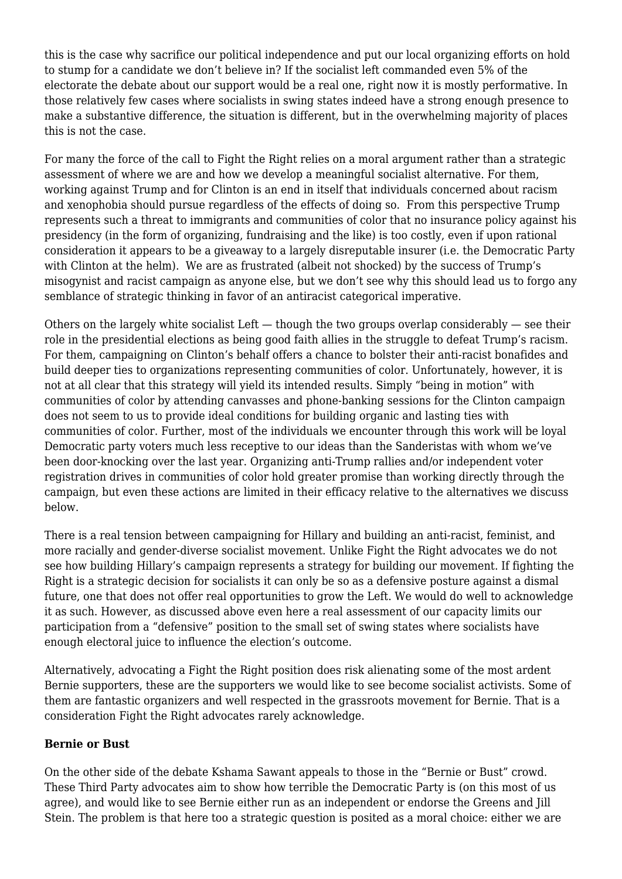this is the case why sacrifice our political independence and put our local organizing efforts on hold to stump for a candidate we don't believe in? If the socialist left commanded even 5% of the electorate the debate about our support would be a real one, right now it is mostly performative. In those relatively few cases where socialists in swing states indeed have a strong enough presence to make a substantive difference, the situation is different, but in the overwhelming majority of places this is not the case.

For many the force of the call to Fight the Right relies on a moral argument rather than a strategic assessment of where we are and how we develop a meaningful socialist alternative. For them, working against Trump and for Clinton is an end in itself that individuals concerned about racism and xenophobia should pursue regardless of the effects of doing so. From this perspective Trump represents such a threat to immigrants and communities of color that no insurance policy against his presidency (in the form of organizing, fundraising and the like) is too costly, even if upon rational consideration it appears to be a giveaway to a largely disreputable insurer (i.e. the Democratic Party with Clinton at the helm). We are as frustrated (albeit not shocked) by the success of Trump's misogynist and racist campaign as anyone else, but we don't see why this should lead us to forgo any semblance of strategic thinking in favor of an antiracist categorical imperative.

Others on the largely white socialist Left  $-$  though the two groups overlap considerably  $-$  see their role in the presidential elections as being good faith allies in the struggle to defeat Trump's racism. For them, campaigning on Clinton's behalf offers a chance to bolster their anti-racist bonafides and build deeper ties to organizations representing communities of color. Unfortunately, however, it is not at all clear that this strategy will yield its intended results. Simply "being in motion" with communities of color by attending canvasses and phone-banking sessions for the Clinton campaign does not seem to us to provide ideal conditions for building organic and lasting ties with communities of color. Further, most of the individuals we encounter through this work will be loyal Democratic party voters much less receptive to our ideas than the Sanderistas with whom we've been door-knocking over the last year. Organizing anti-Trump rallies and/or independent voter registration drives in communities of color hold greater promise than working directly through the campaign, but even these actions are limited in their efficacy relative to the alternatives we discuss below.

There is a real tension between campaigning for Hillary and building an anti-racist, feminist, and more racially and gender-diverse socialist movement. Unlike Fight the Right advocates we do not see how building Hillary's campaign represents a strategy for building our movement. If fighting the Right is a strategic decision for socialists it can only be so as a defensive posture against a dismal future, one that does not offer real opportunities to grow the Left. We would do well to acknowledge it as such. However, as discussed above even here a real assessment of our capacity limits our participation from a "defensive" position to the small set of swing states where socialists have enough electoral juice to influence the election's outcome.

Alternatively, advocating a Fight the Right position does risk alienating some of the most ardent Bernie supporters, these are the supporters we would like to see become socialist activists. Some of them are fantastic organizers and well respected in the grassroots movement for Bernie. That is a consideration Fight the Right advocates rarely acknowledge.

### **Bernie or Bust**

On the other side of the debate [Kshama Sawant appeals](https://www.jacobinmag.com/2016/05/trump-clinton-sanders-kshama-sawant-green-party-independent/) to those in the "Bernie or Bust" crowd. These Third Party advocates aim to show how terrible the Democratic Party is (on this most of us agree), and would like to see Bernie either run as an independent or endorse the Greens and Jill Stein. The problem is that here too a strategic question is posited as a moral choice: either we are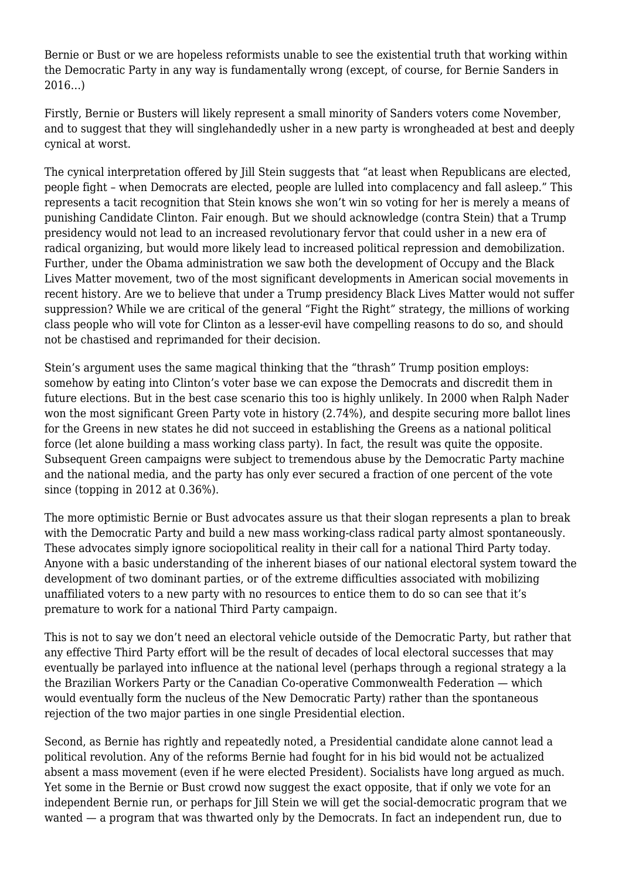Bernie or Bust or we are hopeless reformists unable to see the existential truth that working within the Democratic Party in any way is fundamentally wrong (except, of course, for Bernie Sanders in 2016…)

Firstly, Bernie or Busters will likely represent a small minority of Sanders voters come November, and to suggest that they will singlehandedly usher in a new party is wrongheaded at best and deeply cynical at worst.

The cynical interpretation offered by [Jill Stein suggests](https://www.theguardian.com/us-news/2016/jul/08/jill-stein-bernie-sanders-green-party) that "at least when Republicans are elected, people fight – when Democrats are elected, people are lulled into complacency and fall asleep." This represents a tacit recognition that Stein knows she won't win so voting for her is merely a means of punishing Candidate Clinton. Fair enough. But we should acknowledge (contra Stein) that a Trump presidency would not lead to an increased revolutionary fervor that could usher in a new era of radical organizing, but would more likely lead to increased political repression and demobilization. Further, under the Obama administration we saw both the development of Occupy and the Black Lives Matter movement, two of the most significant developments in American social movements in recent history. Are we to believe that under a Trump presidency Black Lives Matter would not suffer suppression? While we are critical of the general "Fight the Right" strategy, the millions of working class people who will vote for Clinton as a lesser-evil have compelling reasons to do so, and should not be chastised and reprimanded for their decision.

Stein's argument uses the same magical thinking that the "thrash" Trump position employs: somehow by eating into Clinton's voter base we can expose the Democrats and discredit them in future elections. But in the best case scenario this too is highly unlikely. In 2000 when Ralph Nader won the most significant Green Party vote in history (2.74%), and despite securing more ballot lines for the Greens in new states he did not succeed in establishing the Greens as a national political force (let alone building a mass working class party). In fact, the result was quite the opposite. Subsequent Green campaigns were subject to tremendous abuse by the Democratic Party machine and the national media, and the party has only ever secured a fraction of one percent of the vote since (topping in 2012 at 0.36%).

The more optimistic Bernie or Bust advocates assure us that their slogan represents a plan to break with the Democratic Party and build a new mass working-class radical party almost spontaneously. These advocates simply ignore sociopolitical reality in their call for a national Third Party today. Anyone with a basic understanding of the inherent biases of our national electoral system toward the development of two dominant parties, or of the extreme difficulties associated with mobilizing unaffiliated voters to a new party with no resources to entice them to do so can see that it's premature to work for a national Third Party campaign.

This is not to say we don't need an electoral vehicle outside of the Democratic Party, but rather that any effective Third Party effort will be the result of decades of local electoral successes that may eventually be parlayed into influence at the national level (perhaps through a regional strategy a la the Brazilian Workers Party or the Canadian Co-operative Commonwealth Federation — which would eventually form the nucleus of the New Democratic Party) rather than the spontaneous rejection of the two major parties in one single Presidential election.

Second, as Bernie has rightly and repeatedly noted, a Presidential candidate alone cannot lead a political revolution. Any of the reforms Bernie had fought for in his bid would not be actualized absent a mass movement (even if he were elected President). Socialists have long argued as much. Yet some in the Bernie or Bust crowd now suggest the exact opposite, that if only we vote for an independent Bernie run, or perhaps for Jill Stein we will get the social-democratic program that we wanted — a program that was thwarted only by the Democrats. In fact an independent run, due to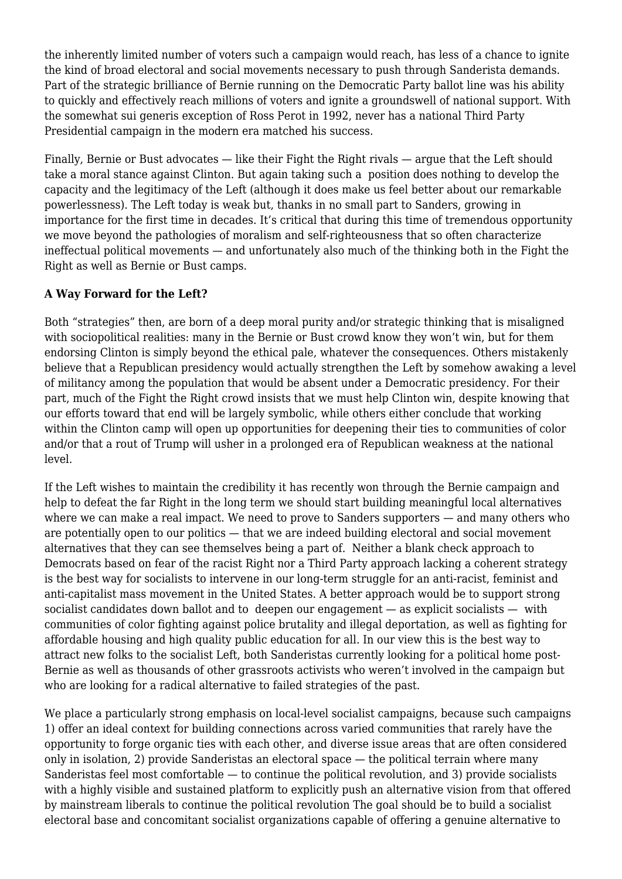the inherently limited number of voters such a campaign would reach, has less of a chance to ignite the kind of broad electoral and social movements necessary to push through Sanderista demands. Part of the strategic brilliance of Bernie running on the Democratic Party ballot line was his ability to quickly and effectively reach millions of voters and ignite a groundswell of national support. With the somewhat sui generis exception of Ross Perot in 1992, never has a national Third Party Presidential campaign in the modern era matched his success.

Finally, Bernie or Bust advocates — like their Fight the Right rivals — argue that the Left should take a moral stance against Clinton. But again taking such a position does nothing to develop the capacity and the legitimacy of the Left (although it does make us feel better about our remarkable powerlessness). The Left today is weak but, thanks in no small part to Sanders, growing in importance for the first time in decades. It's critical that during this time of tremendous opportunity we move beyond the pathologies of moralism and self-righteousness that so often characterize ineffectual political movements — and unfortunately also much of the thinking both in the Fight the Right as well as Bernie or Bust camps.

### **A Way Forward for the Left?**

Both "strategies" then, are born of a deep moral purity and/or strategic thinking that is misaligned with sociopolitical realities: many in the Bernie or Bust crowd know they won't win, but for them endorsing Clinton is simply beyond the ethical pale, whatever the consequences. Others mistakenly believe that a Republican presidency would actually strengthen the Left by somehow awaking a level of militancy among the population that would be absent under a Democratic presidency. For their part, much of the Fight the Right crowd insists that we must help Clinton win, despite knowing that our efforts toward that end will be largely symbolic, while others either conclude that working within the Clinton camp will open up opportunities for deepening their ties to communities of color and/or that a rout of Trump will usher in a prolonged era of Republican weakness at the national level.

If the Left wishes to maintain the credibility it has recently won through the Bernie campaign and help to defeat the far Right in the long term we should start building meaningful local alternatives where we can make a real impact. We need to prove to Sanders supporters — and many others who are potentially open to our politics — that we are indeed building electoral and social movement alternatives that they can see themselves being a part of. Neither a blank check approach to Democrats based on fear of the racist Right nor a Third Party approach lacking a coherent strategy is the best way for socialists to intervene in our long-term struggle for an anti-racist, feminist and anti-capitalist mass movement in the United States. A better approach would be to support strong socialist candidates down ballot and to deepen our engagement — as explicit socialists — with communities of color fighting against police brutality and illegal deportation, as well as fighting for affordable housing and high quality public education for all. In our view this is the best way to attract new folks to the socialist Left, both Sanderistas currently looking for a political home post-Bernie as well as thousands of other grassroots activists who weren't involved in the campaign but who are looking for a radical alternative to failed strategies of the past.

We place a particularly strong emphasis on local-level socialist campaigns, because such campaigns 1) offer an ideal context for building connections across varied communities that rarely have the opportunity to forge organic ties with each other, and diverse issue areas that are often considered only in isolation, 2) provide Sanderistas an electoral space — the political terrain where many Sanderistas feel most comfortable — to continue the political revolution, and 3) provide socialists with a highly visible and sustained platform to explicitly push an alternative vision from that offered by mainstream liberals to continue the political revolution The goal should be to build a socialist electoral base and concomitant socialist organizations capable of offering a genuine alternative to